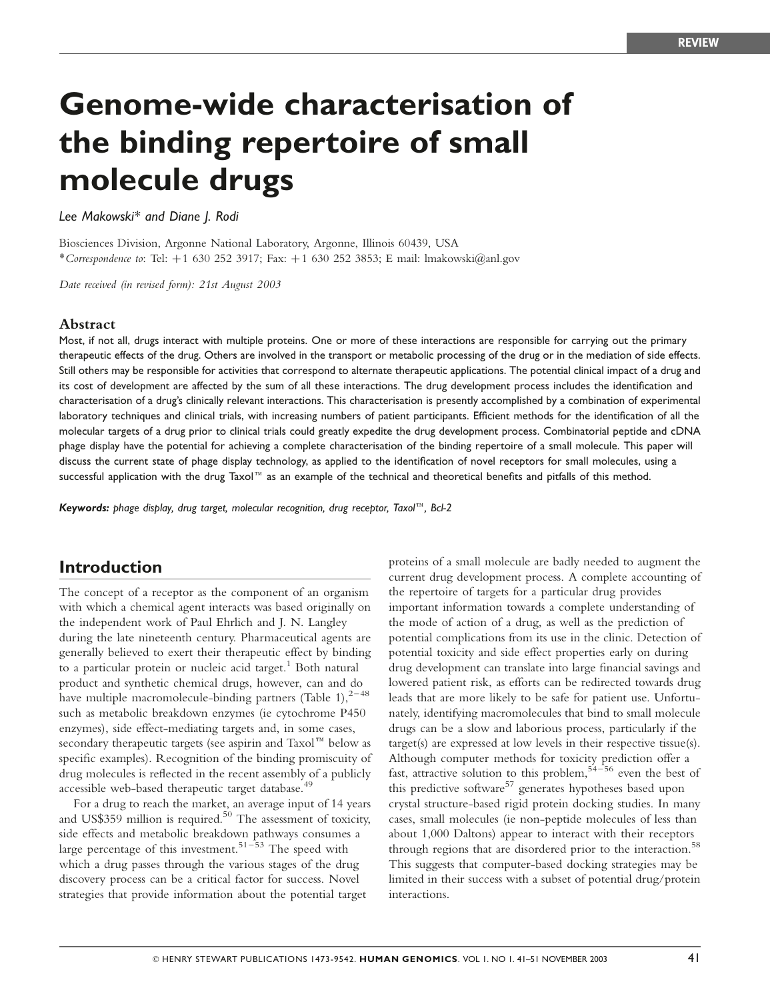# Genome-wide characterisation of the binding repertoire of small molecule drugs

Lee Makowski\* and Diane J. Rodi

Biosciences Division, Argonne National Laboratory, Argonne, Illinois 60439, USA \*Correspondence to: Tel:  $+1$  630 252 3917; Fax:  $+1$  630 252 3853; E mail: lmakowski@anl.gov

Date received (in revised form): 21st August 2003

#### Abstract

Most, if not all, drugs interact with multiple proteins. One or more of these interactions are responsible for carrying out the primary therapeutic effects of the drug. Others are involved in the transport or metabolic processing of the drug or in the mediation of side effects. Still others may be responsible for activities that correspond to alternate therapeutic applications. The potential clinical impact of a drug and its cost of development are affected by the sum of all these interactions. The drug development process includes the identification and characterisation of a drug's clinically relevant interactions. This characterisation is presently accomplished by a combination of experimental laboratory techniques and clinical trials, with increasing numbers of patient participants. Efficient methods for the identification of all the molecular targets of a drug prior to clinical trials could greatly expedite the drug development process. Combinatorial peptide and cDNA phage display have the potential for achieving a complete characterisation of the binding repertoire of a small molecule. This paper will discuss the current state of phage display technology, as applied to the identification of novel receptors for small molecules, using a successful application with the drug Taxol<sup>™</sup> as an example of the technical and theoretical benefits and pitfalls of this method.

Keywords: phage display, drug target, molecular recognition, drug receptor, Taxol<sup>TM</sup>, Bcl-2

# Introduction

The concept of a receptor as the component of an organism with which a chemical agent interacts was based originally on the independent work of Paul Ehrlich and J. N. Langley during the late nineteenth century. Pharmaceutical agents are generally believed to exert their therapeutic effect by binding to a particular protein or nucleic acid target.<sup>1</sup> Both natural product and synthetic chemical drugs, however, can and do have multiple macromolecule-binding partners (Table 1), $2-48$ such as metabolic breakdown enzymes (ie cytochrome P450 enzymes), side effect-mediating targets and, in some cases, secondary therapeutic targets (see aspirin and  $\text{Taxol}^{\text{m}}$  below as specific examples). Recognition of the binding promiscuity of drug molecules is reflected in the recent assembly of a publicly accessible web-based therapeutic target database.<sup>49</sup>

For a drug to reach the market, an average input of 14 years and US\$359 million is required.<sup>50</sup> The assessment of toxicity, side effects and metabolic breakdown pathways consumes a large percentage of this investment.<sup>51–53</sup> The speed with which a drug passes through the various stages of the drug discovery process can be a critical factor for success. Novel strategies that provide information about the potential target

proteins of a small molecule are badly needed to augment the current drug development process. A complete accounting of the repertoire of targets for a particular drug provides important information towards a complete understanding of the mode of action of a drug, as well as the prediction of potential complications from its use in the clinic. Detection of potential toxicity and side effect properties early on during drug development can translate into large financial savings and lowered patient risk, as efforts can be redirected towards drug leads that are more likely to be safe for patient use. Unfortunately, identifying macromolecules that bind to small molecule drugs can be a slow and laborious process, particularly if the target(s) are expressed at low levels in their respective tissue(s). Although computer methods for toxicity prediction offer a fast, attractive solution to this problem,  $54-56$  even the best of this predictive software<sup>57</sup> generates hypotheses based upon crystal structure-based rigid protein docking studies. In many cases, small molecules (ie non-peptide molecules of less than about 1,000 Daltons) appear to interact with their receptors through regions that are disordered prior to the interaction.<sup>58</sup> This suggests that computer-based docking strategies may be limited in their success with a subset of potential drug/protein interactions.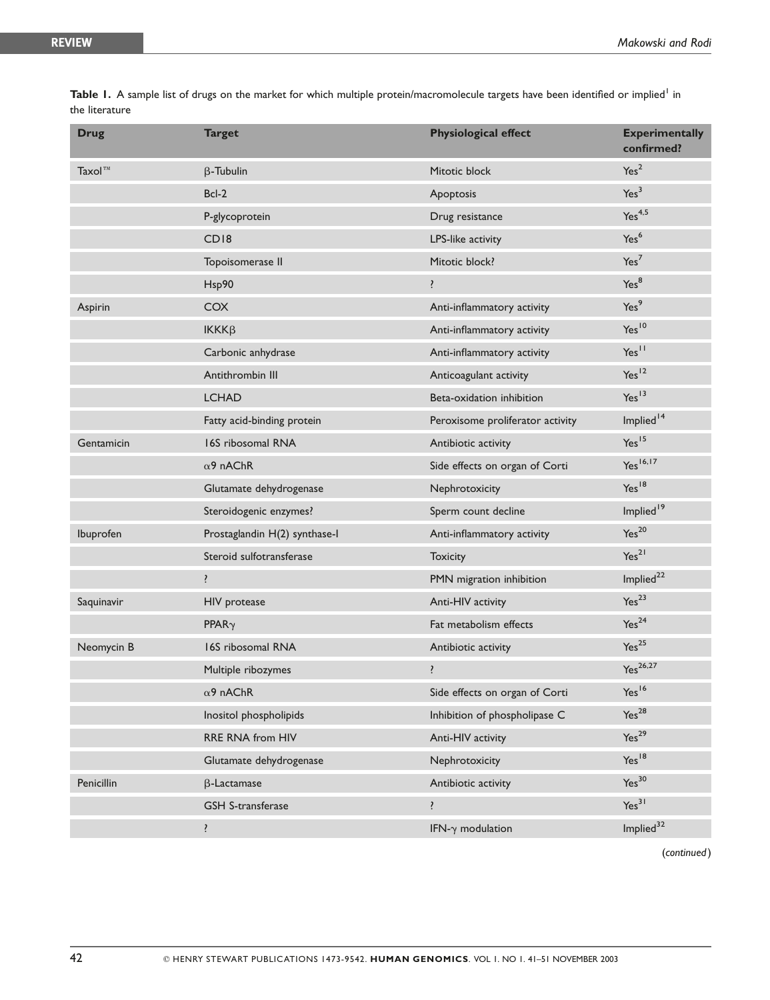| <b>Drug</b> | <b>Target</b>                 | <b>Physiological effect</b>      | <b>Experimentally</b><br>confirmed? |
|-------------|-------------------------------|----------------------------------|-------------------------------------|
| Taxol™      | $\beta$ -Tubulin              | Mitotic block                    | Yes <sup>2</sup>                    |
|             | Bcl-2                         | Apoptosis                        | Yes <sup>3</sup>                    |
|             | P-glycoprotein                | Drug resistance                  | Yes <sup>4,5</sup>                  |
|             | CD <sub>18</sub>              | LPS-like activity                | Yes <sup>6</sup>                    |
|             | Topoisomerase II              | Mitotic block?                   | Yes <sup>7</sup>                    |
|             | Hsp90                         | $\ddot{\cdot}$                   | Yes <sup>8</sup>                    |
| Aspirin     | <b>COX</b>                    | Anti-inflammatory activity       | Yes <sup>9</sup>                    |
|             | $IKKK\beta$                   | Anti-inflammatory activity       | Yes <sup>10</sup>                   |
|             | Carbonic anhydrase            | Anti-inflammatory activity       | Yes <sup>11</sup>                   |
|             | Antithrombin III              | Anticoagulant activity           | Yes <sup>12</sup>                   |
|             | <b>LCHAD</b>                  | Beta-oxidation inhibition        | Yes <sup>13</sup>                   |
|             | Fatty acid-binding protein    | Peroxisome proliferator activity | Implied <sup>14</sup>               |
| Gentamicin  | 16S ribosomal RNA             | Antibiotic activity              | Yes <sup>15</sup>                   |
|             | $\alpha$ 9 nAChR              | Side effects on organ of Corti   | Yes <sup>16,17</sup>                |
|             | Glutamate dehydrogenase       | Nephrotoxicity                   | Yes <sup>18</sup>                   |
|             | Steroidogenic enzymes?        | Sperm count decline              | Implied <sup>19</sup>               |
| Ibuprofen   | Prostaglandin H(2) synthase-l | Anti-inflammatory activity       | Yes <sup>20</sup>                   |
|             | Steroid sulfotransferase      | <b>Toxicity</b>                  | Yes <sup>21</sup>                   |
|             | $\ddot{?}$                    | PMN migration inhibition         | Implied <sup>22</sup>               |
| Saquinavir  | HIV protease                  | Anti-HIV activity                | Yes <sup>23</sup>                   |
|             | PPAR <sub>Y</sub>             | Fat metabolism effects           | Yes <sup>24</sup>                   |
| Neomycin B  | 16S ribosomal RNA             | Antibiotic activity              | Yes <sup>25</sup>                   |
|             | Multiple ribozymes            | $\ddot{?}$                       | Yes <sup>26,27</sup>                |
|             | $\alpha$ 9 nAChR              | Side effects on organ of Corti   | Yes <sup>16</sup>                   |
|             | Inositol phospholipids        | Inhibition of phospholipase C    | Yes <sup>28</sup>                   |
|             | RRE RNA from HIV              | Anti-HIV activity                | Yes <sup>29</sup>                   |
|             | Glutamate dehydrogenase       | Nephrotoxicity                   | Yes <sup>18</sup>                   |
| Penicillin  | $\beta$ -Lactamase            | Antibiotic activity              | Yes <sup>30</sup>                   |
|             | GSH S-transferase             | ?                                | Yes <sup>31</sup>                   |
|             | $\ddot{\cdot}$                | IFN- $\gamma$ modulation         | Implied <sup>32</sup>               |

Table 1. A sample list of drugs on the market for which multiple protein/macromolecule targets have been identified or implied<sup>1</sup> in the literature

(continued)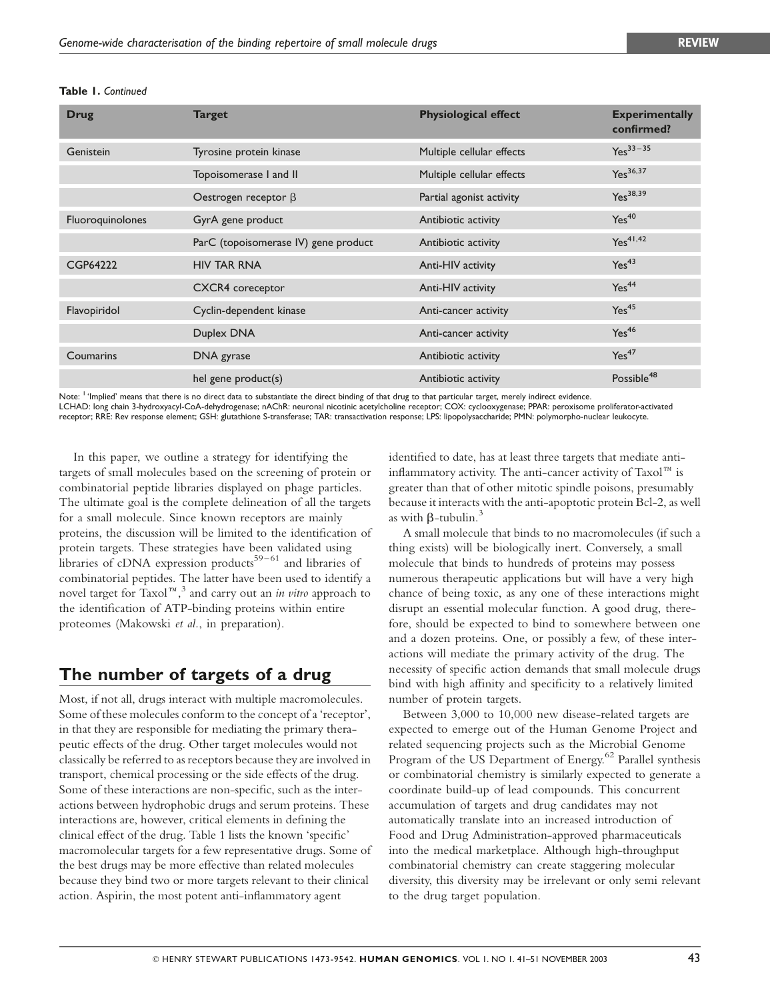|  | Table 1. Continued |
|--|--------------------|
|  |                    |

| <b>Drug</b>      | <b>Target</b>                        | <b>Physiological effect</b> | <b>Experimentally</b><br>confirmed? |
|------------------|--------------------------------------|-----------------------------|-------------------------------------|
| Genistein        | Tyrosine protein kinase              | Multiple cellular effects   | $Yes33-35$                          |
|                  | Topoisomerase I and II               | Multiple cellular effects   | Yes <sup>36,37</sup>                |
|                  | Oestrogen receptor $\beta$           | Partial agonist activity    | Yes <sup>38,39</sup>                |
| Fluoroquinolones | GyrA gene product                    | Antibiotic activity         | Yes <sup>40</sup>                   |
|                  | ParC (topoisomerase IV) gene product | Antibiotic activity         | Yes <sup>41,42</sup>                |
| CGP64222         | <b>HIV TAR RNA</b>                   | Anti-HIV activity           | Yes <sup>43</sup>                   |
|                  | <b>CXCR4</b> coreceptor              | Anti-HIV activity           | Yes <sup>44</sup>                   |
| Flavopiridol     | Cyclin-dependent kinase              | Anti-cancer activity        | Yes <sup>45</sup>                   |
|                  | Duplex DNA                           | Anti-cancer activity        | Yes <sup>46</sup>                   |
| Coumarins        | DNA gyrase                           | Antibiotic activity         | Yes <sup>47</sup>                   |
|                  | hel gene product(s)                  | Antibiotic activity         | Possible <sup>48</sup>              |

Note: <sup>1</sup> 'Implied' means that there is no direct data to substantiate the direct binding of that drug to that particular target, merely indirect evidence.

LCHAD: long chain 3-hydroxyacyl-CoA-dehydrogenase; nAChR: neuronal nicotinic acetylcholine receptor; COX: cyclooxygenase; PPAR: peroxisome proliferator-activated receptor; RRE: Rev response element; GSH: glutathione S-transferase; TAR: transactivation response; LPS: lipopolysaccharide; PMN: polymorpho-nuclear leukocyte.

In this paper, we outline a strategy for identifying the targets of small molecules based on the screening of protein or combinatorial peptide libraries displayed on phage particles. The ultimate goal is the complete delineation of all the targets for a small molecule. Since known receptors are mainly proteins, the discussion will be limited to the identification of protein targets. These strategies have been validated using libraries of cDNA expression products<sup>59–61</sup> and libraries of combinatorial peptides. The latter have been used to identify a novel target for Taxol<sup>M</sup>,<sup>3</sup> and carry out an *in vitro* approach to the identification of ATP-binding proteins within entire proteomes (Makowski et al., in preparation).

## The number of targets of a drug

Most, if not all, drugs interact with multiple macromolecules. Some of these molecules conform to the concept of a 'receptor', in that they are responsible for mediating the primary therapeutic effects of the drug. Other target molecules would not classically be referred to as receptors because they are involved in transport, chemical processing or the side effects of the drug. Some of these interactions are non-specific, such as the interactions between hydrophobic drugs and serum proteins. These interactions are, however, critical elements in defining the clinical effect of the drug. Table 1 lists the known 'specific' macromolecular targets for a few representative drugs. Some of the best drugs may be more effective than related molecules because they bind two or more targets relevant to their clinical action. Aspirin, the most potent anti-inflammatory agent

identified to date, has at least three targets that mediate antiinflammatory activity. The anti-cancer activity of  $\text{Taxol}^{\text{TM}}$  is greater than that of other mitotic spindle poisons, presumably because it interacts with the anti-apoptotic protein Bcl-2, as well as with  $\beta$ -tubulin.<sup>3</sup>

A small molecule that binds to no macromolecules (if such a thing exists) will be biologically inert. Conversely, a small molecule that binds to hundreds of proteins may possess numerous therapeutic applications but will have a very high chance of being toxic, as any one of these interactions might disrupt an essential molecular function. A good drug, therefore, should be expected to bind to somewhere between one and a dozen proteins. One, or possibly a few, of these interactions will mediate the primary activity of the drug. The necessity of specific action demands that small molecule drugs bind with high affinity and specificity to a relatively limited number of protein targets.

Between 3,000 to 10,000 new disease-related targets are expected to emerge out of the Human Genome Project and related sequencing projects such as the Microbial Genome Program of the US Department of Energy.<sup>62</sup> Parallel synthesis or combinatorial chemistry is similarly expected to generate a coordinate build-up of lead compounds. This concurrent accumulation of targets and drug candidates may not automatically translate into an increased introduction of Food and Drug Administration-approved pharmaceuticals into the medical marketplace. Although high-throughput combinatorial chemistry can create staggering molecular diversity, this diversity may be irrelevant or only semi relevant to the drug target population.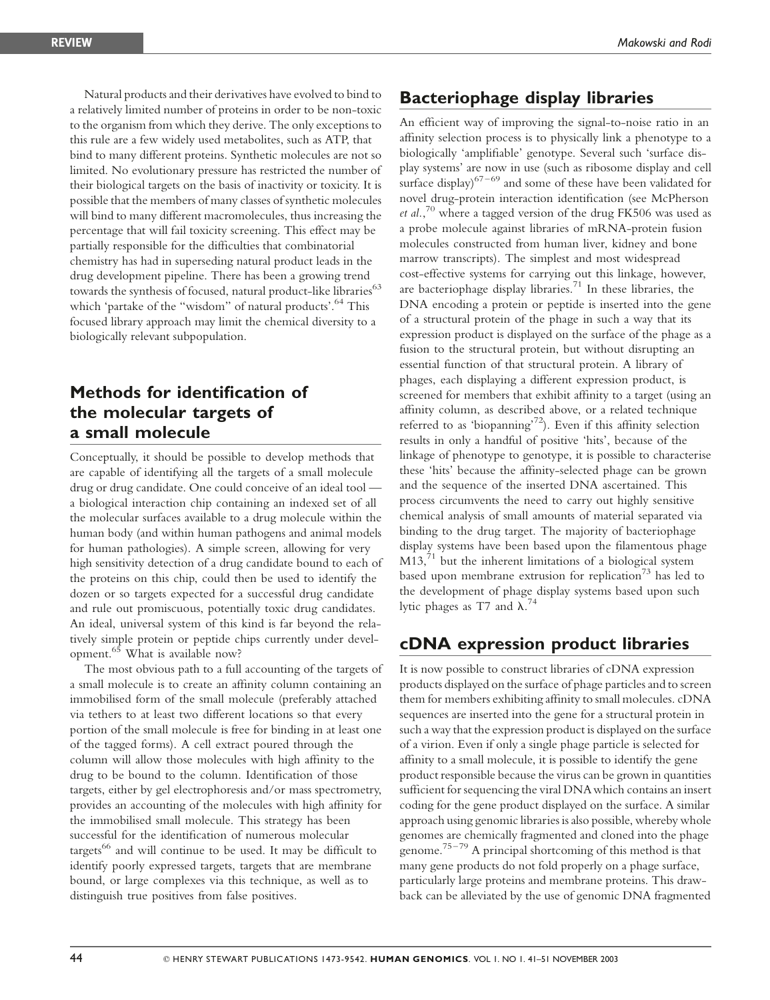Natural products and their derivatives have evolved to bind to a relatively limited number of proteins in order to be non-toxic to the organism from which they derive. The only exceptions to this rule are a few widely used metabolites, such as ATP, that bind to many different proteins. Synthetic molecules are not so limited. No evolutionary pressure has restricted the number of their biological targets on the basis of inactivity or toxicity. It is possible that the members of many classes of synthetic molecules will bind to many different macromolecules, thus increasing the percentage that will fail toxicity screening. This effect may be partially responsible for the difficulties that combinatorial chemistry has had in superseding natural product leads in the drug development pipeline. There has been a growing trend towards the synthesis of focused, natural product-like libraries<sup>63</sup> which 'partake of the "wisdom" of natural products'.<sup>64</sup> This focused library approach may limit the chemical diversity to a biologically relevant subpopulation.

# Methods for identification of the molecular targets of a small molecule

Conceptually, it should be possible to develop methods that are capable of identifying all the targets of a small molecule drug or drug candidate. One could conceive of an ideal tool a biological interaction chip containing an indexed set of all the molecular surfaces available to a drug molecule within the human body (and within human pathogens and animal models for human pathologies). A simple screen, allowing for very high sensitivity detection of a drug candidate bound to each of the proteins on this chip, could then be used to identify the dozen or so targets expected for a successful drug candidate and rule out promiscuous, potentially toxic drug candidates. An ideal, universal system of this kind is far beyond the relatively simple protein or peptide chips currently under development.<sup>65</sup> What is available now?

The most obvious path to a full accounting of the targets of a small molecule is to create an affinity column containing an immobilised form of the small molecule (preferably attached via tethers to at least two different locations so that every portion of the small molecule is free for binding in at least one of the tagged forms). A cell extract poured through the column will allow those molecules with high affinity to the drug to be bound to the column. Identification of those targets, either by gel electrophoresis and/or mass spectrometry, provides an accounting of the molecules with high affinity for the immobilised small molecule. This strategy has been successful for the identification of numerous molecular targets<sup>66</sup> and will continue to be used. It may be difficult to identify poorly expressed targets, targets that are membrane bound, or large complexes via this technique, as well as to distinguish true positives from false positives.

# Bacteriophage display libraries

An efficient way of improving the signal-to-noise ratio in an affinity selection process is to physically link a phenotype to a biologically 'amplifiable' genotype. Several such 'surface display systems' are now in use (such as ribosome display and cell surface display) $67-69$  and some of these have been validated for novel drug-protein interaction identification (see McPherson et al.,<sup>70</sup> where a tagged version of the drug FK506 was used as a probe molecule against libraries of mRNA-protein fusion molecules constructed from human liver, kidney and bone marrow transcripts). The simplest and most widespread cost-effective systems for carrying out this linkage, however, are bacteriophage display libraries.<sup>71</sup> In these libraries, the DNA encoding a protein or peptide is inserted into the gene of a structural protein of the phage in such a way that its expression product is displayed on the surface of the phage as a fusion to the structural protein, but without disrupting an essential function of that structural protein. A library of phages, each displaying a different expression product, is screened for members that exhibit affinity to a target (using an affinity column, as described above, or a related technique referred to as 'biopanning'<sup>72</sup>). Even if this affinity selection results in only a handful of positive 'hits', because of the linkage of phenotype to genotype, it is possible to characterise these 'hits' because the affinity-selected phage can be grown and the sequence of the inserted DNA ascertained. This process circumvents the need to carry out highly sensitive chemical analysis of small amounts of material separated via binding to the drug target. The majority of bacteriophage display systems have been based upon the filamentous phage  $M13$ ,<sup>71</sup> but the inherent limitations of a biological system based upon membrane extrusion for replication<sup>73</sup> has led to the development of phage display systems based upon such lytic phages as T7 and  $\lambda$ .<sup>74</sup>

## cDNA expression product libraries

It is now possible to construct libraries of cDNA expression products displayed on the surface of phage particles and to screen them for members exhibiting affinity to small molecules. cDNA sequences are inserted into the gene for a structural protein in such a way that the expression product is displayed on the surface of a virion. Even if only a single phage particle is selected for affinity to a small molecule, it is possible to identify the gene product responsible because the virus can be grown in quantities sufficient for sequencing the viral DNAwhich contains an insert coding for the gene product displayed on the surface. A similar approach using genomic libraries is also possible, whereby whole genomes are chemically fragmented and cloned into the phage genome.<sup>75–79</sup> A principal shortcoming of this method is that many gene products do not fold properly on a phage surface, particularly large proteins and membrane proteins. This drawback can be alleviated by the use of genomic DNA fragmented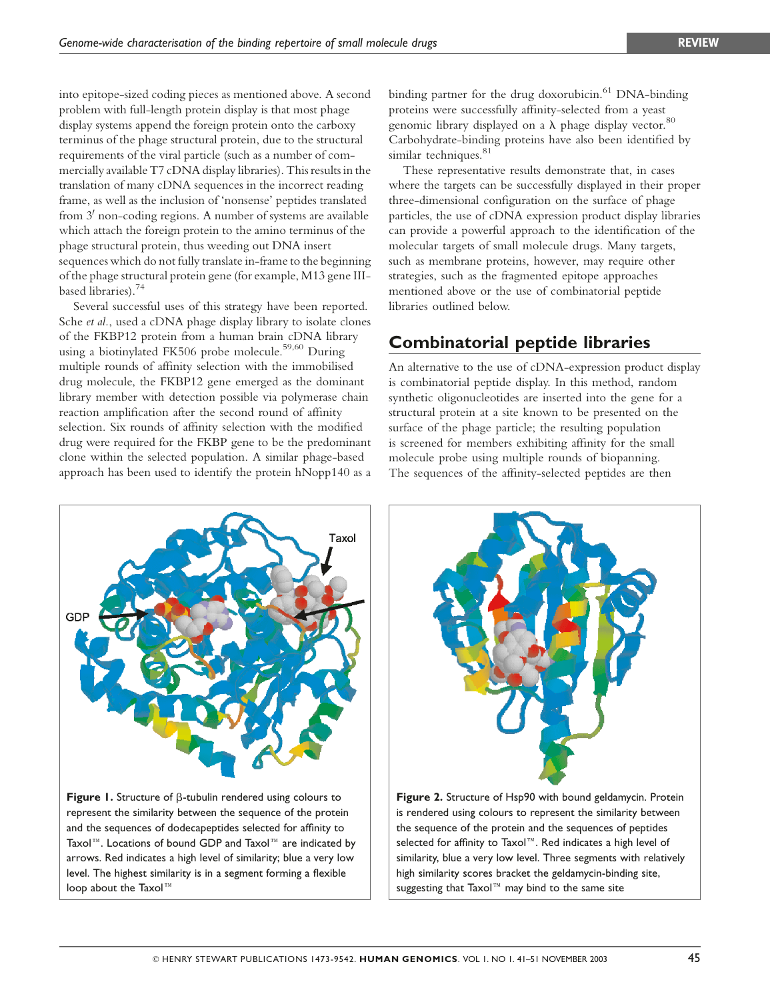into epitope-sized coding pieces as mentioned above. A second problem with full-length protein display is that most phage display systems append the foreign protein onto the carboxy terminus of the phage structural protein, due to the structural requirements of the viral particle (such as a number of commercially available T7 cDNA display libraries). This results in the translation of many cDNA sequences in the incorrect reading frame, as well as the inclusion of 'nonsense' peptides translated from  $3'$  non-coding regions. A number of systems are available which attach the foreign protein to the amino terminus of the phage structural protein, thus weeding out DNA insert sequences which do not fully translate in-frame to the beginning of the phage structural protein gene (for example, M13 gene IIIbased libraries).<sup>74</sup>

Several successful uses of this strategy have been reported. Sche et al., used a cDNA phage display library to isolate clones of the FKBP12 protein from a human brain cDNA library using a biotinylated FK506 probe molecule.<sup>59,60</sup> During multiple rounds of affinity selection with the immobilised drug molecule, the FKBP12 gene emerged as the dominant library member with detection possible via polymerase chain reaction amplification after the second round of affinity selection. Six rounds of affinity selection with the modified drug were required for the FKBP gene to be the predominant clone within the selected population. A similar phage-based approach has been used to identify the protein hNopp140 as a binding partner for the drug doxorubicin.<sup>61</sup> DNA-binding proteins were successfully affinity-selected from a yeast genomic library displayed on a  $\lambda$  phage display vector.<sup>80</sup> Carbohydrate-binding proteins have also been identified by similar techniques.<sup>81</sup>

These representative results demonstrate that, in cases where the targets can be successfully displayed in their proper three-dimensional configuration on the surface of phage particles, the use of cDNA expression product display libraries can provide a powerful approach to the identification of the molecular targets of small molecule drugs. Many targets, such as membrane proteins, however, may require other strategies, such as the fragmented epitope approaches mentioned above or the use of combinatorial peptide libraries outlined below.

### Combinatorial peptide libraries

An alternative to the use of cDNA-expression product display is combinatorial peptide display. In this method, random synthetic oligonucleotides are inserted into the gene for a structural protein at a site known to be presented on the surface of the phage particle; the resulting population is screened for members exhibiting affinity for the small molecule probe using multiple rounds of biopanning. The sequences of the affinity-selected peptides are then



Figure 1. Structure of  $\beta$ -tubulin rendered using colours to represent the similarity between the sequence of the protein and the sequences of dodecapeptides selected for affinity to Taxol<sup> $m$ </sup>. Locations of bound GDP and Taxol $m$  are indicated by arrows. Red indicates a high level of similarity; blue a very low level. The highest similarity is in a segment forming a flexible loop about the Taxol $TM$ 



Figure 2. Structure of Hsp90 with bound geldamycin. Protein is rendered using colours to represent the similarity between the sequence of the protein and the sequences of peptides selected for affinity to Taxol<sup>™</sup>. Red indicates a high level of similarity, blue a very low level. Three segments with relatively high similarity scores bracket the geldamycin-binding site, suggesting that Taxol<sup>M</sup> may bind to the same site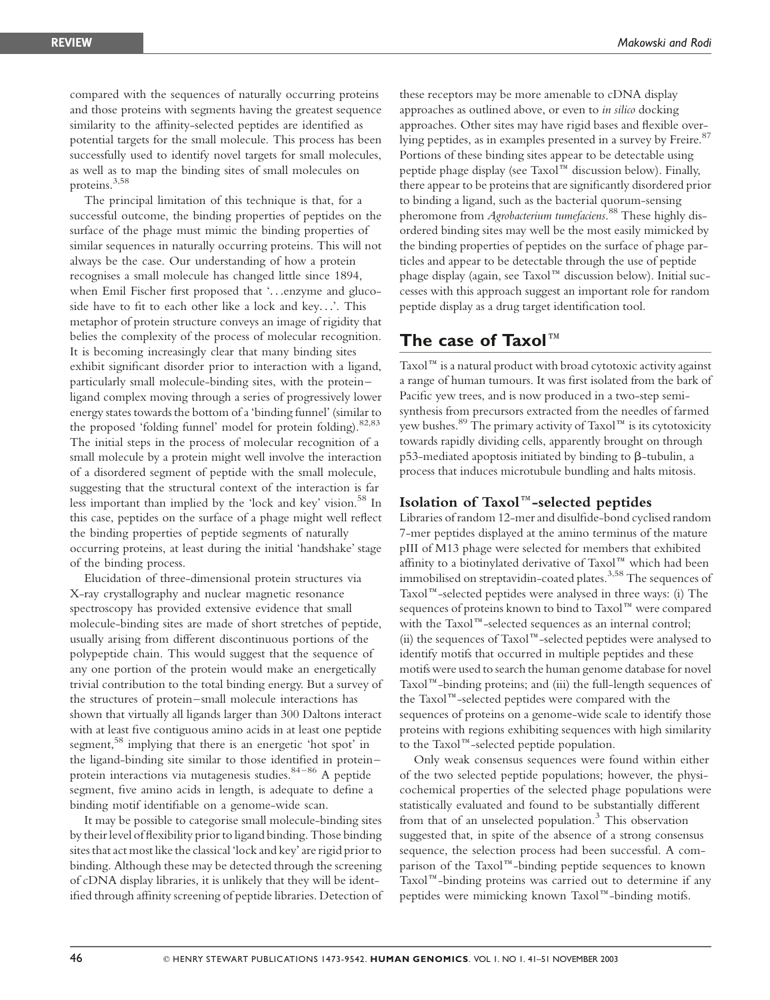compared with the sequences of naturally occurring proteins and those proteins with segments having the greatest sequence similarity to the affinity-selected peptides are identified as potential targets for the small molecule. This process has been successfully used to identify novel targets for small molecules, as well as to map the binding sites of small molecules on proteins.3,58

The principal limitation of this technique is that, for a successful outcome, the binding properties of peptides on the surface of the phage must mimic the binding properties of similar sequences in naturally occurring proteins. This will not always be the case. Our understanding of how a protein recognises a small molecule has changed little since 1894, when Emil Fischer first proposed that '...enzyme and glucoside have to fit to each other like a lock and key...'. This metaphor of protein structure conveys an image of rigidity that belies the complexity of the process of molecular recognition. It is becoming increasingly clear that many binding sites exhibit significant disorder prior to interaction with a ligand, particularly small molecule-binding sites, with the protein– ligand complex moving through a series of progressively lower energy states towards the bottom of a 'binding funnel' (similar to the proposed 'folding funnel' model for protein folding).<sup>82,83</sup> The initial steps in the process of molecular recognition of a small molecule by a protein might well involve the interaction of a disordered segment of peptide with the small molecule, suggesting that the structural context of the interaction is far less important than implied by the 'lock and key' vision.<sup>58</sup> In this case, peptides on the surface of a phage might well reflect the binding properties of peptide segments of naturally occurring proteins, at least during the initial 'handshake' stage of the binding process.

Elucidation of three-dimensional protein structures via X-ray crystallography and nuclear magnetic resonance spectroscopy has provided extensive evidence that small molecule-binding sites are made of short stretches of peptide, usually arising from different discontinuous portions of the polypeptide chain. This would suggest that the sequence of any one portion of the protein would make an energetically trivial contribution to the total binding energy. But a survey of the structures of protein–small molecule interactions has shown that virtually all ligands larger than 300 Daltons interact with at least five contiguous amino acids in at least one peptide segment,<sup>58</sup> implying that there is an energetic 'hot spot' in the ligand-binding site similar to those identified in protein– protein interactions via mutagenesis studies. $84-86$  A peptide segment, five amino acids in length, is adequate to define a binding motif identifiable on a genome-wide scan.

It may be possible to categorise small molecule-binding sites by their level of flexibility prior to ligand binding. Those binding sites that act most like the classical 'lock and key' are rigid prior to binding. Although these may be detected through the screening of cDNA display libraries, it is unlikely that they will be identified through affinity screening of peptide libraries. Detection of these receptors may be more amenable to cDNA display approaches as outlined above, or even to in silico docking approaches. Other sites may have rigid bases and flexible overlying peptides, as in examples presented in a survey by Freire.<sup>87</sup> Portions of these binding sites appear to be detectable using peptide phage display (see Taxol<sup> $m$ </sup> discussion below). Finally, there appear to be proteins that are significantly disordered prior to binding a ligand, such as the bacterial quorum-sensing pheromone from Agrobacterium tumefaciens.<sup>88</sup> These highly disordered binding sites may well be the most easily mimicked by the binding properties of peptides on the surface of phage particles and appear to be detectable through the use of peptide phage display (again, see Taxol™ discussion below). Initial successes with this approach suggest an important role for random peptide display as a drug target identification tool.

## The case of Taxol $TM$

 $\text{Taxol}^{\text{TM}}$  is a natural product with broad cytotoxic activity against a range of human tumours. It was first isolated from the bark of Pacific yew trees, and is now produced in a two-step semisynthesis from precursors extracted from the needles of farmed yew bushes.<sup>89</sup> The primary activity of Taxol<sup> $m$ </sup> is its cytotoxicity towards rapidly dividing cells, apparently brought on through  $p53$ -mediated apoptosis initiated by binding to  $\beta$ -tubulin, a process that induces microtubule bundling and halts mitosis.

#### Isolation of Taxol<sup> $M$ </sup>-selected peptides

Libraries of random 12-mer and disulfide-bond cyclised random 7-mer peptides displayed at the amino terminus of the mature pIII of M13 phage were selected for members that exhibited affinity to a biotinylated derivative of  $\text{Taxol}^{\text{TM}}$  which had been immobilised on streptavidin-coated plates.<sup>3,58</sup> The sequences of  $\text{Taxol}^{\text{TM}}$ -selected peptides were analysed in three ways: (i) The sequences of proteins known to bind to Taxol $^{\text{TM}}$  were compared with the  $\text{Taxol}^{\text{TM}}$ -selected sequences as an internal control; (ii) the sequences of Taxol<sup>M</sup>-selected peptides were analysed to identify motifs that occurred in multiple peptides and these motifs were used to search the human genome database for novel  $Taxol^{\pi M}$ -binding proteins; and (iii) the full-length sequences of the  $\text{Taxol}^{\text{TM}}$ -selected peptides were compared with the sequences of proteins on a genome-wide scale to identify those proteins with regions exhibiting sequences with high similarity to the Taxol<sup>TM</sup>-selected peptide population.

Only weak consensus sequences were found within either of the two selected peptide populations; however, the physicochemical properties of the selected phage populations were statistically evaluated and found to be substantially different from that of an unselected population. $3$  This observation suggested that, in spite of the absence of a strong consensus sequence, the selection process had been successful. A comparison of the Taxol<sup> $m$ </sup>-binding peptide sequences to known Taxol<sup>™</sup>-binding proteins was carried out to determine if any peptides were mimicking known Taxol™-binding motifs.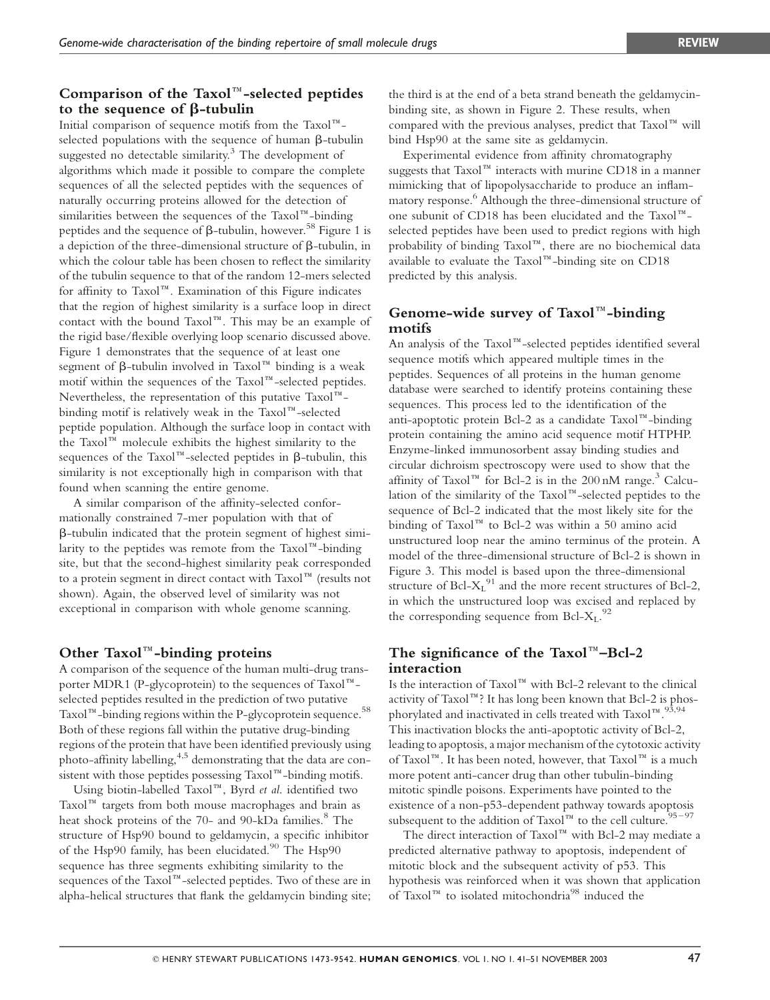#### Comparison of the Taxol<sup> $m$ </sup>-selected peptides to the sequence of  $\beta$ -tubulin

Initial comparison of sequence motifs from the Taxol<sup>™</sup>selected populations with the sequence of human  $\beta$ -tubulin suggested no detectable similarity.<sup>3</sup> The development of algorithms which made it possible to compare the complete sequences of all the selected peptides with the sequences of naturally occurring proteins allowed for the detection of similarities between the sequences of the Taxol<sup> $m$ </sup>-binding peptides and the sequence of  $\beta$ -tubulin, however.<sup>58</sup> Figure 1 is a depiction of the three-dimensional structure of  $\beta$ -tubulin, in which the colour table has been chosen to reflect the similarity of the tubulin sequence to that of the random 12-mers selected for affinity to Taxol<sup> $TM$ </sup>. Examination of this Figure indicates that the region of highest similarity is a surface loop in direct contact with the bound Taxol<sup> $m$ </sup>. This may be an example of the rigid base/flexible overlying loop scenario discussed above. Figure 1 demonstrates that the sequence of at least one segment of  $\beta$ -tubulin involved in Taxol<sup>M</sup> binding is a weak motif within the sequences of the Taxol<sup> $m$ </sup>-selected peptides. Nevertheless, the representation of this putative  $\text{Taxol}^{\text{m}}$ binding motif is relatively weak in the Taxol<sup>™</sup>-selected peptide population. Although the surface loop in contact with the Taxol<sup> $m$ </sup> molecule exhibits the highest similarity to the sequences of the Taxol<sup>™</sup>-selected peptides in  $\beta$ -tubulin, this similarity is not exceptionally high in comparison with that found when scanning the entire genome.

A similar comparison of the affinity-selected conformationally constrained 7-mer population with that of b-tubulin indicated that the protein segment of highest similarity to the peptides was remote from the Taxol<sup>TM</sup>-binding site, but that the second-highest similarity peak corresponded to a protein segment in direct contact with  $\text{Taxol}^{\text{TM}}$  (results not shown). Again, the observed level of similarity was not exceptional in comparison with whole genome scanning.

#### Other Taxol<sup> $m$ </sup>-binding proteins

A comparison of the sequence of the human multi-drug transporter MDR1 (P-glycoprotein) to the sequences of Taxol<sup> $m$ </sup>selected peptides resulted in the prediction of two putative Taxol<sup>™</sup>-binding regions within the P-glycoprotein sequence.<sup>58</sup> Both of these regions fall within the putative drug-binding regions of the protein that have been identified previously using photo-affinity labelling,4,5 demonstrating that the data are consistent with those peptides possessing  $\text{Taxol}^{\text{TM}}$ -binding motifs.

Using biotin-labelled Taxol<sup>TM</sup>, Byrd et al. identified two  $\text{Taxol}^{\text{TM}}$  targets from both mouse macrophages and brain as heat shock proteins of the 70- and 90-kDa families.<sup>8</sup> The structure of Hsp90 bound to geldamycin, a specific inhibitor of the Hsp90 family, has been elucidated.<sup>90</sup> The Hsp90 sequence has three segments exhibiting similarity to the sequences of the Taxol<sup>™</sup>-selected peptides. Two of these are in alpha-helical structures that flank the geldamycin binding site;

the third is at the end of a beta strand beneath the geldamycinbinding site, as shown in Figure 2. These results, when compared with the previous analyses, predict that  $\text{Taxol}^{\text{TM}}$  will bind Hsp90 at the same site as geldamycin.

Experimental evidence from affinity chromatography suggests that  $Taxol^m$  interacts with murine CD18 in a manner mimicking that of lipopolysaccharide to produce an inflammatory response.<sup>6</sup> Although the three-dimensional structure of one subunit of CD18 has been elucidated and the Taxol<sup> $m$ </sup>selected peptides have been used to predict regions with high probability of binding Taxol™, there are no biochemical data available to evaluate the Taxol<sup> $m$ </sup>-binding site on CD18 predicted by this analysis.

#### Genome-wide survey of Taxol<sup> $m$ </sup>-binding motifs

An analysis of the Taxol<sup>™</sup>-selected peptides identified several sequence motifs which appeared multiple times in the peptides. Sequences of all proteins in the human genome database were searched to identify proteins containing these sequences. This process led to the identification of the anti-apoptotic protein Bcl-2 as a candidate  $Taxol^{m}$ -binding protein containing the amino acid sequence motif HTPHP. Enzyme-linked immunosorbent assay binding studies and circular dichroism spectroscopy were used to show that the affinity of Taxol<sup>™</sup> for Bcl-2 is in the 200 nM range.<sup>3</sup> Calculation of the similarity of the Taxol<sup> $m$ </sup>-selected peptides to the sequence of Bcl-2 indicated that the most likely site for the binding of Taxol<sup>™</sup> to Bcl-2 was within a 50 amino acid unstructured loop near the amino terminus of the protein. A model of the three-dimensional structure of Bcl-2 is shown in Figure 3. This model is based upon the three-dimensional structure of  $\text{Bcl-X}_{\text{L}}^{91}$  and the more recent structures of Bcl-2, in which the unstructured loop was excised and replaced by the corresponding sequence from Bcl- $X_L$ .<sup>92</sup>

#### The significance of the Taxol<sup>™</sup>-Bcl-2 interaction

Is the interaction of Taxol<sup>™</sup> with Bcl-2 relevant to the clinical activity of Taxol<sup> $m$ </sup>? It has long been known that Bcl-2 is phosphorylated and inactivated in cells treated with Taxol<sup>™. 93,94</sup> This inactivation blocks the anti-apoptotic activity of Bcl-2, leading to apoptosis, a major mechanism of the cytotoxic activity of Taxol<sup>™</sup>. It has been noted, however, that Taxol<sup>™</sup> is a much more potent anti-cancer drug than other tubulin-binding mitotic spindle poisons. Experiments have pointed to the existence of a non-p53-dependent pathway towards apoptosis subsequent to the addition of Taxol<sup>™</sup> to the cell culture.<sup>95–97</sup>

The direct interaction of Taxol<sup>™</sup> with Bcl-2 may mediate a predicted alternative pathway to apoptosis, independent of mitotic block and the subsequent activity of p53. This hypothesis was reinforced when it was shown that application of Taxol<sup> $m$ </sup> to isolated mitochondria<sup>98</sup> induced the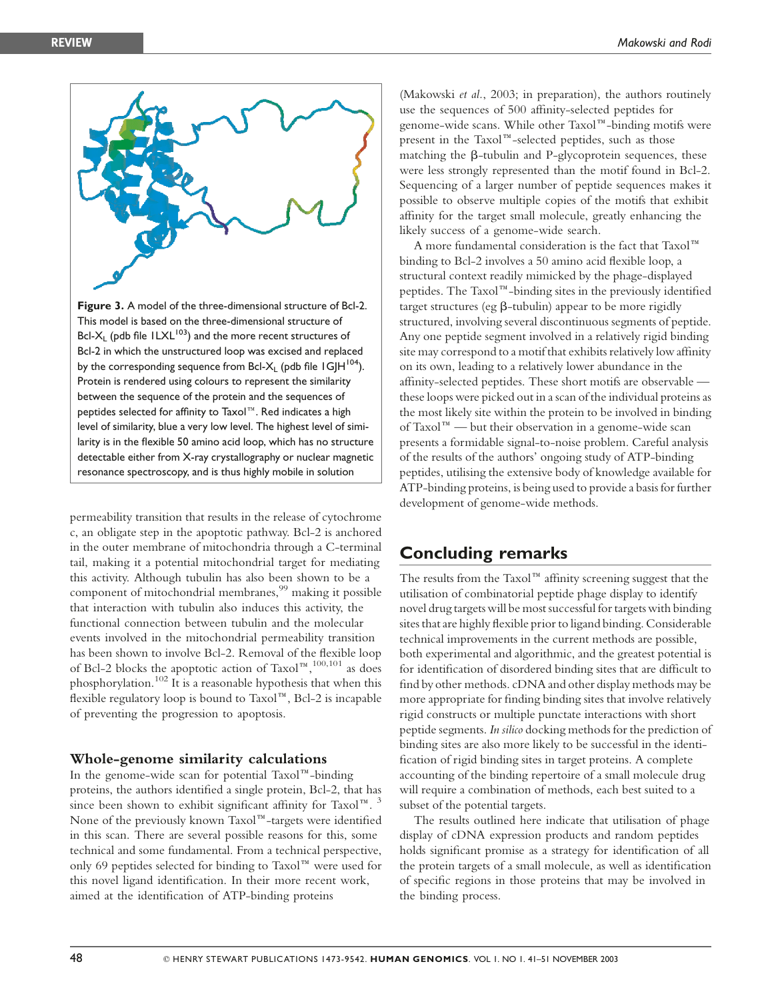

Figure 3. A model of the three-dimensional structure of Bcl-2. This model is based on the three-dimensional structure of Bcl-X<sub>L</sub> (pdb file  $|LXL|^{103}$ ) and the more recent structures of Bcl-2 in which the unstructured loop was excised and replaced by the corresponding sequence from Bcl- $X_L$  (pdb file  $1 \text{G/H}^{104}$ ). Protein is rendered using colours to represent the similarity between the sequence of the protein and the sequences of peptides selected for affinity to Taxol<sup>M</sup>. Red indicates a high level of similarity, blue a very low level. The highest level of similarity is in the flexible 50 amino acid loop, which has no structure detectable either from X-ray crystallography or nuclear magnetic resonance spectroscopy, and is thus highly mobile in solution

permeability transition that results in the release of cytochrome c, an obligate step in the apoptotic pathway. Bcl-2 is anchored in the outer membrane of mitochondria through a C-terminal tail, making it a potential mitochondrial target for mediating this activity. Although tubulin has also been shown to be a component of mitochondrial membranes,<sup>99</sup> making it possible that interaction with tubulin also induces this activity, the functional connection between tubulin and the molecular events involved in the mitochondrial permeability transition has been shown to involve Bcl-2. Removal of the flexible loop of Bcl-2 blocks the apoptotic action of Taxol<sup>TM</sup>,<sup>100,101</sup> as does phosphorylation.102 It is a reasonable hypothesis that when this flexible regulatory loop is bound to Taxol<sup>TM</sup>, Bcl-2 is incapable of preventing the progression to apoptosis.

#### Whole-genome similarity calculations

In the genome-wide scan for potential  $\text{Taxol}^{\text{TM}}$ -binding proteins, the authors identified a single protein, Bcl-2, that has since been shown to exhibit significant affinity for Taxol<sup>TM</sup>.<sup>3</sup> None of the previously known Taxol<sup>M</sup>-targets were identified in this scan. There are several possible reasons for this, some technical and some fundamental. From a technical perspective, only 69 peptides selected for binding to Taxol<sup> $m$ </sup> were used for this novel ligand identification. In their more recent work, aimed at the identification of ATP-binding proteins

(Makowski et al., 2003; in preparation), the authors routinely use the sequences of 500 affinity-selected peptides for genome-wide scans. While other Taxol™-binding motifs were present in the Taxol<sup> $m$ </sup>-selected peptides, such as those matching the  $\beta$ -tubulin and P-glycoprotein sequences, these were less strongly represented than the motif found in Bcl-2. Sequencing of a larger number of peptide sequences makes it possible to observe multiple copies of the motifs that exhibit affinity for the target small molecule, greatly enhancing the likely success of a genome-wide search.

A more fundamental consideration is the fact that  $\text{Taxol}^{\text{TM}}$ binding to Bcl-2 involves a 50 amino acid flexible loop, a structural context readily mimicked by the phage-displayed peptides. The Taxol<sup>™</sup>-binding sites in the previously identified target structures (eg  $\beta$ -tubulin) appear to be more rigidly structured, involving several discontinuous segments of peptide. Any one peptide segment involved in a relatively rigid binding site may correspond to a motif that exhibits relatively low affinity on its own, leading to a relatively lower abundance in the affinity-selected peptides. These short motifs are observable these loops were picked out in a scan of the individual proteins as the most likely site within the protein to be involved in binding of  $\text{Taxol}^{\text{TM}}$  — but their observation in a genome-wide scan presents a formidable signal-to-noise problem. Careful analysis of the results of the authors' ongoing study of ATP-binding peptides, utilising the extensive body of knowledge available for ATP-binding proteins, is being used to provide a basis for further development of genome-wide methods.

## Concluding remarks

The results from the Taxol<sup> $m$ </sup> affinity screening suggest that the utilisation of combinatorial peptide phage display to identify novel drug targets will be most successful for targets with binding sites that are highly flexible prior to ligand binding. Considerable technical improvements in the current methods are possible, both experimental and algorithmic, and the greatest potential is for identification of disordered binding sites that are difficult to find byother methods. cDNA and other display methods may be more appropriate for finding binding sites that involve relatively rigid constructs or multiple punctate interactions with short peptide segments. In silico docking methods for the prediction of binding sites are also more likely to be successful in the identification of rigid binding sites in target proteins. A complete accounting of the binding repertoire of a small molecule drug will require a combination of methods, each best suited to a subset of the potential targets.

The results outlined here indicate that utilisation of phage display of cDNA expression products and random peptides holds significant promise as a strategy for identification of all the protein targets of a small molecule, as well as identification of specific regions in those proteins that may be involved in the binding process.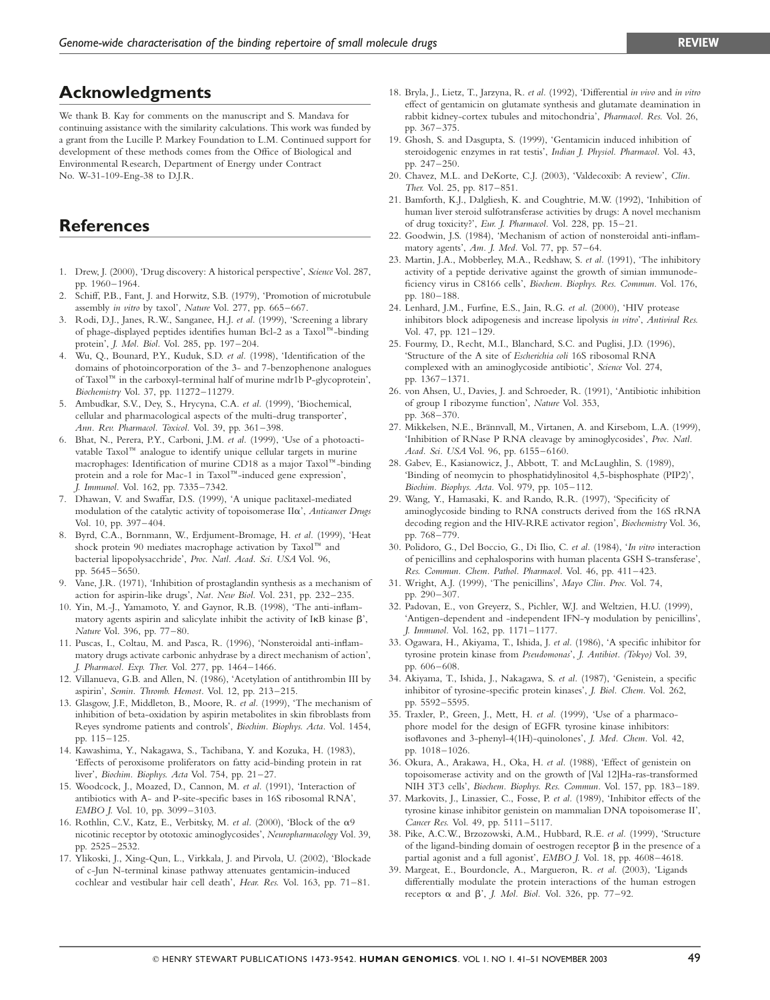## Acknowledgments

We thank B. Kay for comments on the manuscript and S. Mandava for continuing assistance with the similarity calculations. This work was funded by a grant from the Lucille P. Markey Foundation to L.M. Continued support for development of these methods comes from the Office of Biological and Environmental Research, Department of Energy under Contract No. W-31-109-Eng-38 to D.J.R.

## **References**

- 1. Drew, J. (2000), 'Drug discovery: A historical perspective', Science Vol. 287, pp. 1960–1964.
- 2. Schiff, P.B., Fant, J. and Horwitz, S.B. (1979), 'Promotion of microtubule assembly in vitro by taxol', Nature Vol. 277, pp. 665–667.
- 3. Rodi, D.J., Janes, R.W., Sanganee, H.J. et al. (1999), 'Screening a library of phage-displayed peptides identifies human Bcl-2 as a Taxol<sup>™</sup>-binding protein', J. Mol. Biol. Vol. 285, pp. 197–204.
- 4. Wu, Q., Bounard, P.Y., Kuduk, S.D. et al. (1998), 'Identification of the domains of photoincorporation of the 3- and 7-benzophenone analogues of Taxol<sup>™</sup> in the carboxyl-terminal half of murine mdr1b P-glycoprotein', Biochemistry Vol. 37, pp. 11272–11279.
- 5. Ambudkar, S.V., Dey, S., Hrycyna, C.A. et al. (1999), 'Biochemical, cellular and pharmacological aspects of the multi-drug transporter', Ann. Rev. Pharmacol. Toxicol. Vol. 39, pp. 361–398.
- 6. Bhat, N., Perera, P.Y., Carboni, J.M. et al. (1999), 'Use of a photoactivatable  $\text{Taxol}^{\text{m}}$  analogue to identify unique cellular targets in murine macrophages: Identification of murine CD18 as a major Taxol<sup>™</sup>-binding protein and a role for Mac-1 in Taxol™-induced gene expression', J. Immunol. Vol. 162, pp. 7335–7342.
- 7. Dhawan, V. and Swaffar, D.S. (1999), 'A unique paclitaxel-mediated modulation of the catalytic activity of topoisomerase II $\alpha$ ', Anticancer Drugs Vol. 10, pp. 397–404.
- 8. Byrd, C.A., Bornmann, W., Erdjument-Bromage, H. et al. (1999), 'Heat shock protein 90 mediates macrophage activation by Taxol<sup>TM</sup> and bacterial lipopolysacchride', Proc. Natl. Acad. Sci. USA Vol. 96, pp. 5645–5650.
- Vane, J.R. (1971), 'Inhibition of prostaglandin synthesis as a mechanism of action for aspirin-like drugs', Nat. New Biol. Vol. 231, pp. 232–235.
- 10. Yin, M.-J., Yamamoto, Y. and Gaynor, R.B. (1998), 'The anti-inflammatory agents aspirin and salicylate inhibit the activity of  $I \kappa B$  kinase  $\beta'$ , Nature Vol. 396, pp. 77–80.
- 11. Puscas, I., Coltau, M. and Pasca, R. (1996), 'Nonsteroidal anti-inflammatory drugs activate carbonic anhydrase by a direct mechanism of action', J. Pharmacol. Exp. Ther. Vol. 277, pp. 1464–1466.
- 12. Villanueva, G.B. and Allen, N. (1986), 'Acetylation of antithrombin III by aspirin', Semin. Thromb. Hemost. Vol. 12, pp. 213–215.
- 13. Glasgow, J.F., Middleton, B., Moore, R. et al. (1999), 'The mechanism of inhibition of beta-oxidation by aspirin metabolites in skin fibroblasts from Reyes syndrome patients and controls', Biochim. Biophys. Acta. Vol. 1454, pp. 115–125.
- 14. Kawashima, Y., Nakagawa, S., Tachibana, Y. and Kozuka, H. (1983), 'Effects of peroxisome proliferators on fatty acid-binding protein in rat liver', Biochim. Biophys. Acta Vol. 754, pp. 21–27.
- 15. Woodcock, J., Moazed, D., Cannon, M. et al. (1991), 'Interaction of antibiotics with A- and P-site-specific bases in 16S ribosomal RNA', EMBO J. Vol. 10, pp. 3099–3103.
- 16. Rothlin, C.V., Katz, E., Verbitsky, M. et al. (2000), 'Block of the  $\alpha$ 9 nicotinic receptor by ototoxic aminoglycosides', Neuropharmacology Vol. 39, pp. 2525–2532.
- 17. Ylikoski, J., Xing-Qun, L., Virkkala, J. and Pirvola, U. (2002), 'Blockade of c-Jun N-terminal kinase pathway attenuates gentamicin-induced cochlear and vestibular hair cell death', Hear. Res. Vol. 163, pp. 71–81.
- 18. Bryla, J., Lietz, T., Jarzyna, R. et al. (1992), 'Differential in vivo and in vitro effect of gentamicin on glutamate synthesis and glutamate deamination in rabbit kidney-cortex tubules and mitochondria', Pharmacol. Res. Vol. 26, pp. 367–375.
- 19. Ghosh, S. and Dasgupta, S. (1999), 'Gentamicin induced inhibition of steroidogenic enzymes in rat testis', Indian J. Physiol. Pharmacol. Vol. 43, pp. 247–250.
- 20. Chavez, M.L. and DeKorte, C.J. (2003), 'Valdecoxib: A review', Clin. Ther. Vol. 25, pp. 817–851.
- 21. Bamforth, K.J., Dalgliesh, K. and Coughtrie, M.W. (1992), 'Inhibition of human liver steroid sulfotransferase activities by drugs: A novel mechanism of drug toxicity?', Eur. J. Pharmacol. Vol. 228, pp. 15–21.
- 22. Goodwin, J.S. (1984), 'Mechanism of action of nonsteroidal anti-inflammatory agents', Am. J. Med. Vol. 77, pp. 57–64.
- 23. Martin, J.A., Mobberley, M.A., Redshaw, S. et al. (1991), 'The inhibitory activity of a peptide derivative against the growth of simian immunodeficiency virus in C8166 cells', Biochem. Biophys. Res. Commun. Vol. 176, pp. 180–188.
- 24. Lenhard, J.M., Furfine, E.S., Jain, R.G. et al. (2000), 'HIV protease inhibitors block adipogenesis and increase lipolysis in vitro', Antiviral Res. Vol. 47, pp. 121–129.
- 25. Fourmy, D., Recht, M.I., Blanchard, S.C. and Puglisi, J.D. (1996), 'Structure of the A site of Escherichia coli 16S ribosomal RNA complexed with an aminoglycoside antibiotic', Science Vol. 274, pp. 1367–1371.
- 26. von Ahsen, U., Davies, J. and Schroeder, R. (1991), 'Antibiotic inhibition of group I ribozyme function', Nature Vol. 353, pp. 368–370.
- 27. Mikkelsen, N.E., Brännvall, M., Virtanen, A. and Kirsebom, L.A. (1999), 'Inhibition of RNase P RNA cleavage by aminoglycosides', Proc. Natl. Acad. Sci. USA Vol. 96, pp. 6155–6160.
- 28. Gabev, E., Kasianowicz, J., Abbott, T. and McLaughlin, S. (1989), 'Binding of neomycin to phosphatidylinositol 4,5-bisphosphate (PIP2)', Biochim. Biophys. Acta. Vol. 979, pp. 105–112.
- 29. Wang, Y., Hamasaki, K. and Rando, R.R. (1997), 'Specificity of aminoglycoside binding to RNA constructs derived from the 16S rRNA decoding region and the HIV-RRE activator region', Biochemistry Vol. 36, pp. 768–779.
- 30. Polidoro, G., Del Boccio, G., Di Ilio, C. et al. (1984), 'In vitro interaction of penicillins and cephalosporins with human placenta GSH S-transferase', Res. Commun. Chem. Pathol. Pharmacol. Vol. 46, pp. 411–423.
- 31. Wright, A.J. (1999), 'The penicillins', Mayo Clin. Proc. Vol. 74, pp. 290–307.
- 32. Padovan, E., von Greyerz, S., Pichler, W.J. and Weltzien, H.U. (1999), 'Antigen-dependent and -independent IFN-g modulation by penicillins', J. Immunol. Vol. 162, pp. 1171–1177.
- 33. Ogawara, H., Akiyama, T., Ishida, J. et al. (1986), 'A specific inhibitor for tyrosine protein kinase from Pseudomonas', J. Antibiot. (Tokyo) Vol. 39, pp. 606–608.
- 34. Akiyama, T., Ishida, J., Nakagawa, S. et al. (1987), 'Genistein, a specific inhibitor of tyrosine-specific protein kinases', J. Biol. Chem. Vol. 262, pp. 5592–5595.
- 35. Traxler, P., Green, J., Mett, H. et al. (1999), 'Use of a pharmacophore model for the design of EGFR tyrosine kinase inhibitors: isoflavones and 3-phenyl-4(1H)-quinolones', J. Med. Chem. Vol. 42, pp. 1018–1026.
- 36. Okura, A., Arakawa, H., Oka, H. et al. (1988), 'Effect of genistein on topoisomerase activity and on the growth of [Val 12]Ha-ras-transformed NIH 3T3 cells', Biochem. Biophys. Res. Commun. Vol. 157, pp. 183–189.
- 37. Markovits, J., Linassier, C., Fosse, P. et al. (1989), 'Inhibitor effects of the tyrosine kinase inhibitor genistein on mammalian DNA topoisomerase II', Cancer Res. Vol. 49, pp. 5111–5117.
- 38. Pike, A.C.W., Brzozowski, A.M., Hubbard, R.E. et al. (1999), 'Structure of the ligand-binding domain of oestrogen receptor  $\beta$  in the presence of a partial agonist and a full agonist', EMBO J. Vol. 18, pp. 4608–4618.
- 39. Margeat, E., Bourdoncle, A., Margueron, R. et al. (2003), 'Ligands differentially modulate the protein interactions of the human estrogen receptors  $\alpha$  and  $\beta'$ , J. Mol. Biol. Vol. 326, pp. 77-92.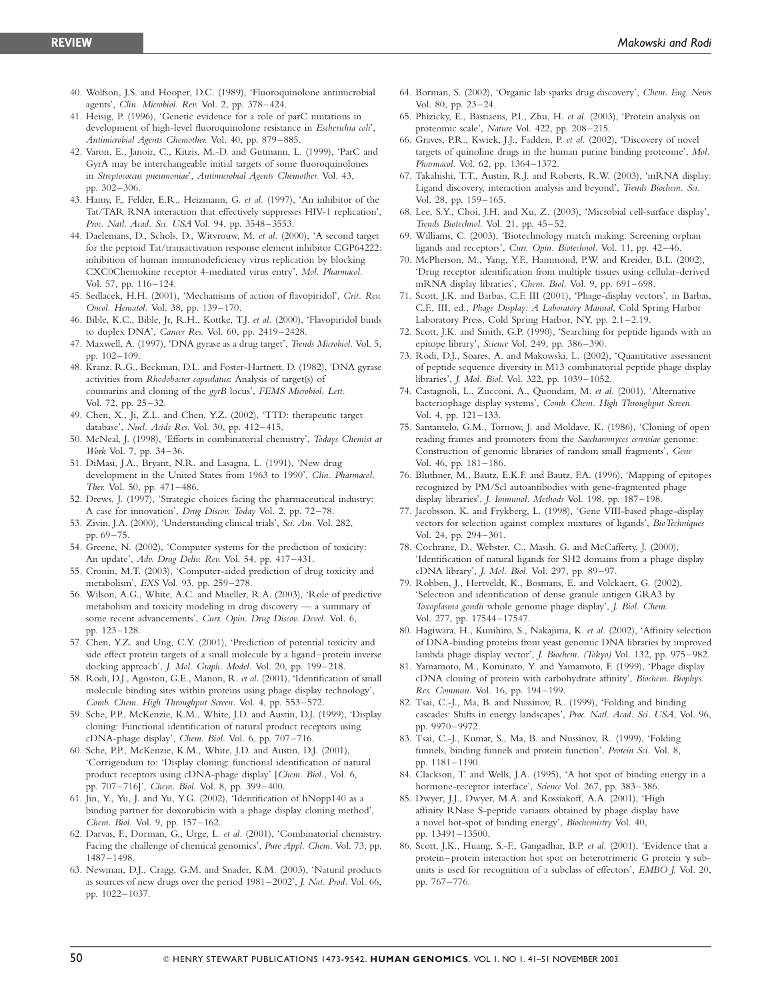- 40. Wolfson, J.S. and Hooper, D.C. (1989), 'Fluoroquinolone antimicrobial agents', Clin. Microbiol. Rev. Vol. 2, pp. 378–424.
- 41. Heisig, P. (1996), 'Genetic evidence for a role of parC mutations in development of high-level fluoroquinolone resistance in Escherichia coli', Antimicrobial Agents Chemother. Vol. 40, pp. 879–885.
- 42. Varon, E., Janoir, C., Kitzis, M.-D. and Gutmann, L. (1999), 'ParC and GyrA may be interchangeable initial targets of some fluoroquinolones in Streptococcus pneumoniae', Antimicrobial Agents Chemother. Vol. 43, pp. 302–306.
- 43. Hamy, F., Felder, E.R., Heizmann, G. et al. (1997), 'An inhibitor of the Tat/TAR RNA interaction that effectively suppresses HIV-1 replication', Proc. Natl. Acad. Sci. USA Vol. 94, pp. 3548–3553.
- 44. Daelemans, D., Schols, D., Witvrouw, M. et al. (2000), 'A second target for the peptoid Tat/transactivation response element inhibitor CGP64222: inhibition of human immunodeficiency virus replication by blocking CXC0Chemokine receptor 4-mediated virus entry', Mol. Pharmacol. Vol. 57, pp. 116–124.
- 45. Sedlacek, H.H. (2001), 'Mechanisms of action of flavopiridol', Crit. Rev. Oncol. Hematol. Vol. 38, pp. 139–170.
- 46. Bible, K.C., Bible, Jr, R.H., Kottke, T.J. et al. (2000), 'Flavopiridol binds to duplex DNA', Cancer Res. Vol. 60, pp. 2419–2428.
- 47. Maxwell, A. (1997), 'DNA gyrase as a drug target', Trends Microbiol. Vol. 5, pp. 102–109.
- 48. Kranz, R.G., Beckman, D.L. and Foster-Hartnett, D. (1982), 'DNA gyrase activities from Rhodobacter capsulatus: Analysis of target(s) of coumarins and cloning of the gyrB locus', FEMS Microbiol. Lett. Vol. 72, pp. 25–32.
- 49. Chen, X., Ji, Z.L. and Chen, Y.Z. (2002), 'TTD: therapeutic target database', Nucl. Acids Res. Vol. 30, pp. 412–415.
- 50. McNeal, J. (1998), 'Efforts in combinatorial chemistry', Todays Chemist at Work Vol. 7, pp. 34–36.
- 51. DiMasi, J.A., Bryant, N.R. and Lasagna, L. (1991), 'New drug development in the United States from 1963 to 1990', Clin. Pharmacol. Ther. Vol. 50, pp. 471–486.
- 52. Drews, J. (1997), 'Strategic choices facing the pharmaceutical industry: A case for innovation', Drug Discov. Today Vol. 2, pp. 72–78.
- 53. Zivin, J.A. (2000), 'Understanding clinical trials', Sci. Am. Vol. 282, pp. 69–75.
- 54. Greene, N. (2002), 'Computer systems for the prediction of toxicity: An update', Adv. Drug Deliv. Rev. Vol. 54, pp. 417–431.
- 55. Cronin, M.T. (2003), 'Computer-aided prediction of drug toxicity and metabolism', EXS Vol. 93, pp. 259–278.
- 56. Wilson, A.G., White, A.C. and Mueller, R.A. (2003), 'Role of predictive metabolism and toxicity modeling in drug discovery — a summary of some recent advancements', Curr. Opin. Drug Discov. Devel. Vol. 6, pp. 123–128.
- 57. Chen, Y.Z. and Ung, C.Y. (2001), 'Prediction of potential toxicity and side effect protein targets of a small molecule by a ligand–protein inverse docking approach', J. Mol. Graph. Model. Vol. 20, pp. 199–218.
- 58. Rodi, D.J., Agoston, G.E., Manon, R. et al. (2001), 'Identification of small molecule binding sites within proteins using phage display technology', Comb. Chem. High Throughput Screen. Vol. 4, pp. 553–572.
- 59. Sche, P.P., McKenzie, K.M., White, J.D. and Austin, D.J. (1999), 'Display cloning: Functional identification of natural product receptors using cDNA-phage display', Chem. Biol. Vol. 6, pp. 707–716.
- 60. Sche, P.P., McKenzie, K.M., White, J.D. and Austin, D.J. (2001), 'Corrigendum to: 'Display cloning: functional identification of natural product receptors using cDNA-phage display' [Chem. Biol., Vol. 6, pp. 707–716]', Chem. Biol. Vol. 8, pp. 399–400.
- 61. Jin, Y., Yu, J. and Yu, Y.G. (2002), 'Identification of hNopp140 as a binding partner for doxorubicin with a phage display cloning method', Chem. Biol. Vol. 9, pp. 157–162.
- 62. Darvas, F., Dorman, G., Urge, L. et al. (2001), 'Combinatorial chemistry. Facing the challenge of chemical genomics', Pure Appl. Chem. Vol. 73, pp. 1487–1498.
- 63. Newman, D.J., Cragg, G.M. and Snader, K.M. (2003), 'Natural products as sources of new drugs over the period 1981–2002', J. Nat. Prod. Vol. 66, pp. 1022–1037.
- 64. Borman, S. (2002), 'Organic lab sparks drug discovery', Chem. Eng. News Vol. 80, pp. 23–24.
- 65. Phizicky, E., Bastiaens, P.I., Zhu, H. et al. (2003), 'Protein analysis on proteomic scale', Nature Vol. 422, pp. 208–215.
- 66. Graves, P.R., Kwiek, J.J., Fadden, P. et al. (2002), 'Discovery of novel targets of quinoline drugs in the human purine binding proteome', Mol. Pharmacol. Vol. 62, pp. 1364–1372.
- 67. Takahishi, T.T., Austin, R.J. and Roberts, R.W. (2003), 'mRNA display: Ligand discovery, interaction analysis and beyond', Trends Biochem. Sci. Vol. 28, pp. 159–165.
- 68. Lee, S.Y., Choi, J.H. and Xu, Z. (2003), 'Microbial cell-surface display', Trends Biotechnol. Vol. 21, pp. 45–52.
- 69. Williams, C. (2003), 'Biotechnology match making: Screening orphan ligands and receptors', Curr. Opin. Biotechnol. Vol. 11, pp. 42–46.
- 70. McPherson, M., Yang, Y.F., Hammond, P.W. and Kreider, B.L. (2002), 'Drug receptor identification from multiple tissues using cellular-derived mRNA display libraries', Chem. Biol. Vol. 9, pp. 691–698.
- 71. Scott, J.K. and Barbas, C.F. III (2001), 'Phage-display vectors', in Barbas, C.F., III, ed., Phage Display: A Laboratory Manual, Cold Spring Harbor Laboratory Press, Cold Spring Harbor, NY, pp. 2.1–2.19.
- 72. Scott, J.K. and Smith, G.P. (1990), 'Searching for peptide ligands with an epitope library', Science Vol. 249, pp. 386–390.
- 73. Rodi, D.J., Soares, A. and Makowski, L. (2002), 'Quantitative assessment of peptide sequence diversity in M13 combinatorial peptide phage display libraries', J. Mol. Biol. Vol. 322, pp. 1039–1052.
- 74. Castagnoli, L., Zucconi, A., Quondam, M. et al. (2001), 'Alternative bacteriophage display systems', Comb. Chem. High Throughput Screen. Vol. 4, pp. 121–133.
- 75. Santantelo, G.M., Tornow, J. and Moldave, K. (1986), 'Cloning of open reading frames and promoters from the Saccharomyces cervisiae genome: Construction of genomic libraries of random small fragments', Gene Vol. 46, pp. 181–186.
- 76. Bluthner, M., Bautz, E.K.F. and Bautz, F.A. (1996), 'Mapping of epitopes recognized by PM/Scl autoantibodies with gene-fragmented phage display libraries', J. Immunol. Methods Vol. 198, pp. 187–198.
- 77. Jacobsson, K. and Frykberg, L. (1998), 'Gene VIII-based phage-display vectors for selection against complex mixtures of ligands', BioTechniques Vol. 24, pp. 294–301.
- 78. Cochrane, D., Webster, C., Masih, G. and McCafferty, J. (2000), 'Identification of natural ligands for SH2 domains from a phage display cDNA library', J. Mol. Biol. Vol. 297, pp. 89–97.
- 79. Robben, J., Hertveldt, K., Bosmans, E. and Volckaert, G. (2002), 'Selection and identification of dense granule antigen GRA3 by Toxoplasma gondii whole genome phage display', J. Biol. Chem. Vol. 277, pp. 17544–17547.
- 80. Hagiwara, H., Kunihiro, S., Nakajima, K. et al. (2002), 'Affinity selection of DNA-binding proteins from yeast genomic DNA libraries by improved lambda phage display vector', J. Biochem. (Tokyo) Vol. 132, pp. 975–982.
- 81. Yamamoto, M., Kominato, Y. and Yamamoto, F. (1999), 'Phage display cDNA cloning of protein with carbohydrate affinity', Biochem. Biophys. Res. Commun. Vol. 16, pp. 194–199.
- 82. Tsai, C.-J., Ma, B. and Nussinov, R. (1999), 'Folding and binding cascades: Shifts in energy landscapes', Proc. Natl. Acad. Sci. USA, Vol. 96, pp. 9970–9972.
- 83. Tsai, C.-J., Kumar, S., Ma, B. and Nussinov, R. (1999), 'Folding funnels, binding funnels and protein function', Protein Sci. Vol. 8, pp. 1181–1190.
- 84. Clackson, T. and Wells, J.A. (1995), 'A hot spot of binding energy in a hormone-receptor interface', Science Vol. 267, pp. 383-386.
- 85. Dwyer, J.J., Dwyer, M.A. and Kossiakoff, A.A. (2001), 'High affinity RNase S-peptide variants obtained by phage display have a novel hot-spot of binding energy', Biochemistry Vol. 40, pp. 13491–13500.
- 86. Scott, J.K., Huang, S.-F., Gangadhar, B.P. et al. (2001), 'Evidence that a protein–protein interaction hot spot on heterotrimeric G protein  $\gamma$  subunits is used for recognition of a subclass of effectors', EMBO J. Vol. 20, pp. 767–776.